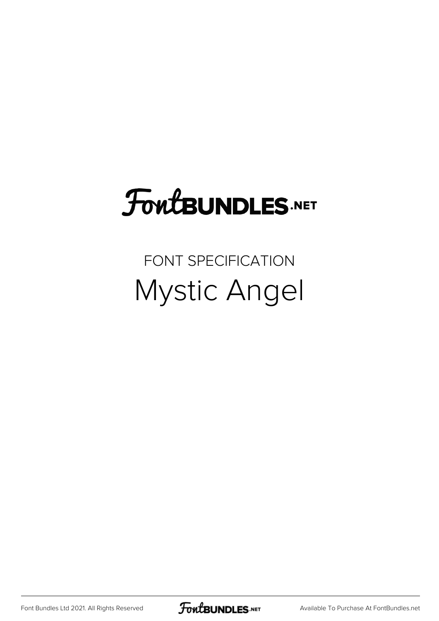## **FoutBUNDLES.NET**

## FONT SPECIFICATION Mystic Angel

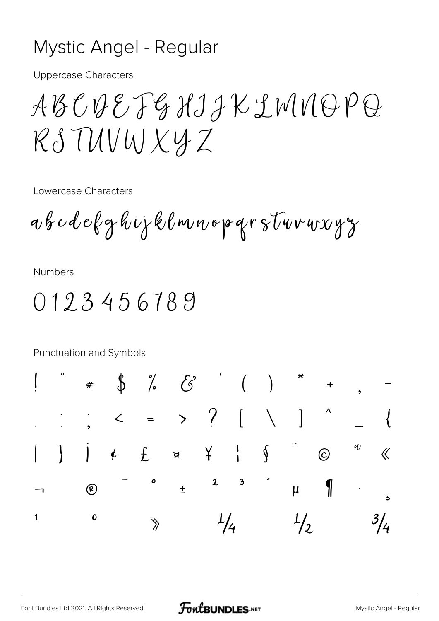## Mystic Angel - Regular

**Uppercase Characters** 

ABCDEFGHIJKLMNOPQ RSTUVWXYZ

Lowercase Characters

abcdefghijklmnoparstuvuxyz

**Numbers** 

0123456789

Punctuation and Symbols

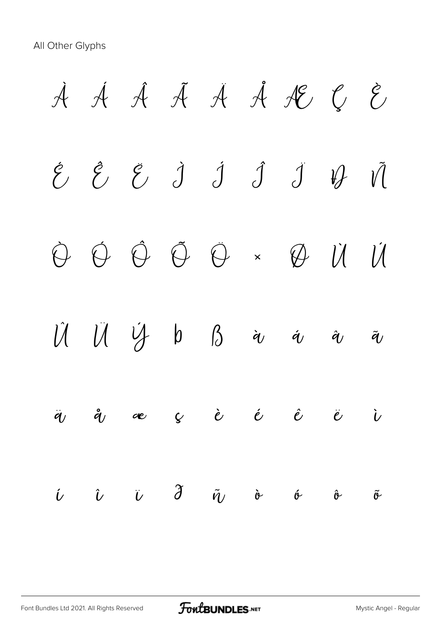All Other Glyphs

À Á Â Ã Ä Å Æ Ç È  $\acute{e}$   $\acute{e}$   $\acute{e}$   $\acute{d}$   $\acute{d}$   $\acute{d}$   $\acute{d}$   $\acute{v}$   $\acute{v}$ Ò Ó Ô Õ Ö × Ø Ù Ú  $\hat{U}$   $\hat{U}$   $\hat{V}$   $\beta$   $\hat{\alpha}$   $\hat{\alpha}$   $\hat{\alpha}$   $\hat{\alpha}$ ä å æ ç è é ê ë ì  $\begin{array}{ccc} \hat{\iota} & \hat{\iota} & \hat{\iota} & \hat{\sigma} & \tilde{\sigma} & \tilde{\sigma} & \tilde{\sigma} & \tilde{\sigma} & \tilde{\sigma} & \tilde{\sigma} & \tilde{\sigma} & \tilde{\sigma} & \tilde{\sigma} & \tilde{\sigma} & \tilde{\sigma} & \tilde{\sigma} & \tilde{\sigma} & \tilde{\sigma} & \tilde{\sigma} & \tilde{\sigma} & \tilde{\sigma} & \tilde{\sigma} & \tilde{\sigma} & \tilde{\sigma} & \tilde{\sigma} & \tilde{\sigma} & \tilde{\sigma} & \tilde{\sigma} & \tilde{\sigma} & \tilde{\sigma} & \tilde{\$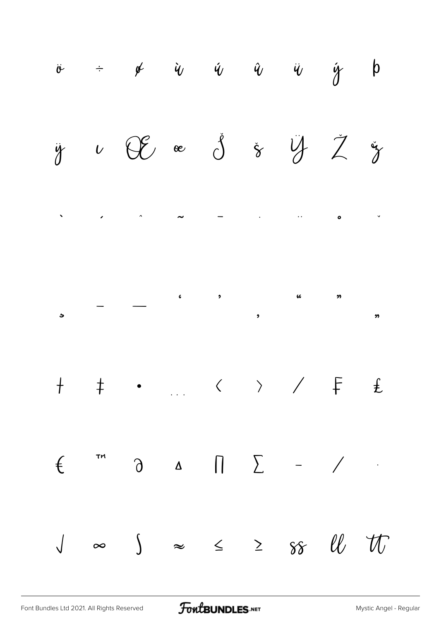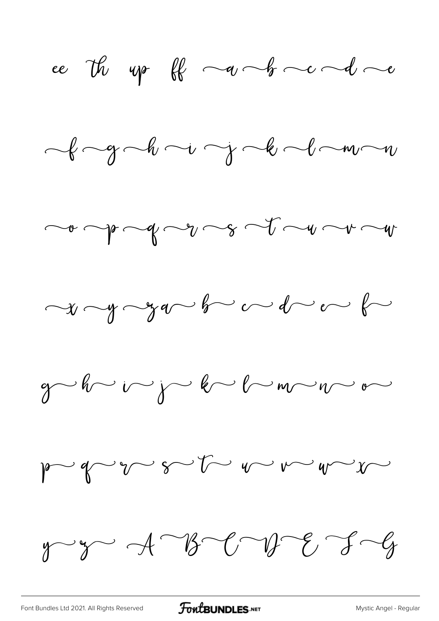